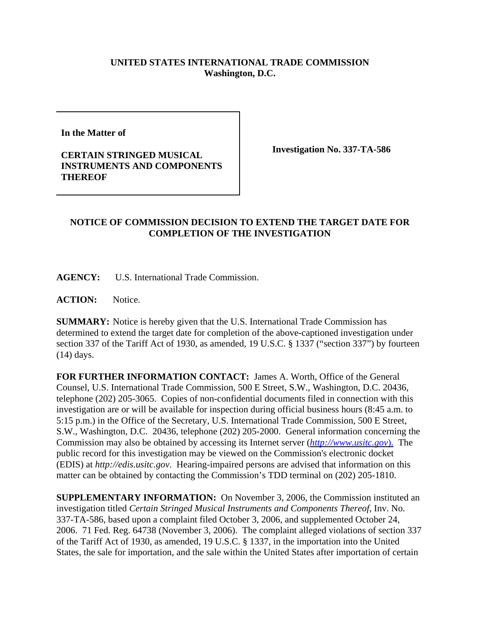## **UNITED STATES INTERNATIONAL TRADE COMMISSION Washington, D.C.**

**In the Matter of**

## **CERTAIN STRINGED MUSICAL INSTRUMENTS AND COMPONENTS THEREOF**

**Investigation No. 337-TA-586**

## **NOTICE OF COMMISSION DECISION TO EXTEND THE TARGET DATE FOR COMPLETION OF THE INVESTIGATION**

**AGENCY:** U.S. International Trade Commission.

**ACTION:** Notice.

**SUMMARY:** Notice is hereby given that the U.S. International Trade Commission has determined to extend the target date for completion of the above-captioned investigation under section 337 of the Tariff Act of 1930, as amended, 19 U.S.C. § 1337 ("section 337") by fourteen (14) days.

**FOR FURTHER INFORMATION CONTACT:** James A. Worth, Office of the General Counsel, U.S. International Trade Commission, 500 E Street, S.W., Washington, D.C. 20436, telephone (202) 205-3065. Copies of non-confidential documents filed in connection with this investigation are or will be available for inspection during official business hours (8:45 a.m. to 5:15 p.m.) in the Office of the Secretary, U.S. International Trade Commission, 500 E Street, S.W., Washington, D.C. 20436, telephone (202) 205-2000. General information concerning the Commission may also be obtained by accessing its Internet server (*http://www.usitc.gov*). The public record for this investigation may be viewed on the Commission's electronic docket (EDIS) at *http://edis.usitc.gov*. Hearing-impaired persons are advised that information on this matter can be obtained by contacting the Commission's TDD terminal on (202) 205-1810.

**SUPPLEMENTARY INFORMATION:** On November 3, 2006, the Commission instituted an investigation titled *Certain Stringed Musical Instruments and Components Thereof*, Inv. No. 337-TA-586, based upon a complaint filed October 3, 2006, and supplemented October 24, 2006. 71 Fed. Reg. 64738 (November 3, 2006). The complaint alleged violations of section 337 of the Tariff Act of 1930, as amended, 19 U.S.C. § 1337, in the importation into the United States, the sale for importation, and the sale within the United States after importation of certain